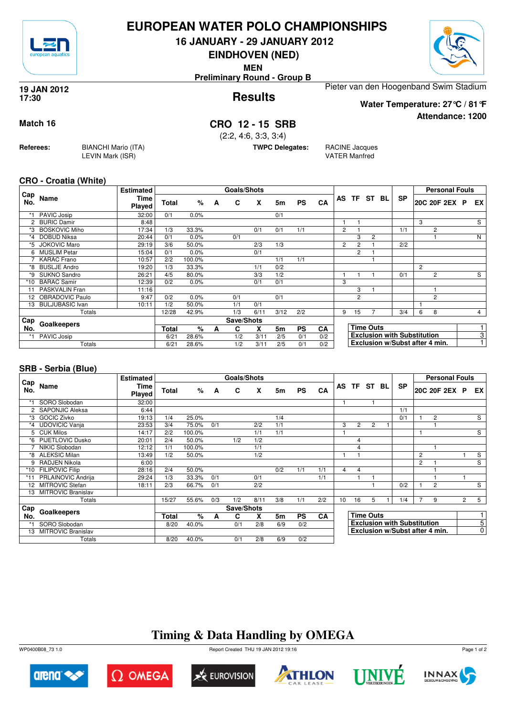

## **EUROPEAN WATER POLO CHAMPIONSHIPS**

**16 JANUARY - 29 JANUARY 2012**

**EINDHOVEN (NED)**

**MEN**

**Preliminary Round - Group B**



**Attendance: 1200**

**Results 19 JAN 2012 17:30**

Pieter van den Hoogenband Swim Stadium

**Water Temperature: 27°C / 81°F**

### **Match 16 CRO 12 - 15 SRB**

(2:2, 4:6, 3:3, 3:4)

**TWPC Delegates:** RACINE Jacques

VATER Manfred

#### **CRO - Croatia (White)**

**Referees:** BIANCHI Mario (ITA)

LEVIN Mark (ISR)

|                 |                        | <b>Estimated</b> |              |         |   | Goals/Shots |      |      |           |           |                       |                |                  |                                    |                | <b>Personal Fouls</b> |                |
|-----------------|------------------------|------------------|--------------|---------|---|-------------|------|------|-----------|-----------|-----------------------|----------------|------------------|------------------------------------|----------------|-----------------------|----------------|
| Cap<br>No.      | Name                   | Time<br>Played   | <b>Total</b> | %       | A | C           | X    | 5m   | <b>PS</b> | CA        |                       |                | AS TF ST BL      | <b>SP</b>                          |                | 20C 20F 2EX P         | EX             |
|                 | PAVIC Josip            | 32:00            | 0/1          | 0.0%    |   |             |      | 0/1  |           |           |                       |                |                  |                                    |                |                       |                |
| 2               | <b>BURIC Damir</b>     | 8:48             |              |         |   |             |      |      |           |           |                       |                |                  |                                    | 3              |                       | S              |
| *3              | <b>BOSKOVIC Miho</b>   | 17:34            | 1/3          | 33.3%   |   |             | 0/1  | 0/1  | 1/1       |           | $\overline{2}$        |                |                  | 1/1                                |                | 2                     |                |
| *4              | DOBUD Niksa            | 20:44            | 0/1          | $0.0\%$ |   | 0/1         |      |      |           |           |                       | 3              | 2                |                                    |                |                       | $\overline{N}$ |
| *5.             | <b>JOKOVIC Maro</b>    | 29:19            | 3/6          | 50.0%   |   |             | 2/3  | 1/3  |           |           | $\mathbf{2}^{\prime}$ | $\overline{2}$ |                  | 2/2                                |                |                       |                |
| 6               | <b>MUSLIM Petar</b>    | 15:04            | 0/1          | $0.0\%$ |   |             | 0/1  |      |           |           |                       | $\overline{2}$ |                  |                                    |                |                       |                |
|                 | <b>KARAC</b> Frano     | 10:57            | 2/2          | 100.0%  |   |             |      | 1/1  | 1/1       |           |                       |                |                  |                                    |                |                       |                |
| *8              | <b>BUSLJE Andro</b>    | 19:20            | 1/3          | 33.3%   |   |             | 1/1  | 0/2  |           |           |                       |                |                  |                                    | $\overline{c}$ |                       |                |
| *9              | SUKNO Sandro           | 26:21            | 4/5          | 80.0%   |   |             | 3/3  | 1/2  |           |           |                       |                |                  | 0/1                                |                | $\overline{2}$        | S              |
| *10             | <b>BARAC Samir</b>     | 12:39            | 0/2          | 0.0%    |   |             | 0/1  | 0/1  |           |           | 3                     |                |                  |                                    |                |                       |                |
| 11              | PASKVALIN Fran         | 11:16            |              |         |   |             |      |      |           |           |                       | 3              |                  |                                    |                |                       |                |
| 12 <sup>2</sup> | OBRADOVIC Paulo        | 9:47             | 0/2          | 0.0%    |   | 0/1         |      | 0/1  |           |           |                       | $\overline{2}$ |                  |                                    |                | 2                     |                |
| 13              | <b>BULJUBASIC Ivan</b> | 10:11            | 1/2          | 50.0%   |   | 1/1         | 0/1  |      |           |           |                       |                |                  |                                    |                |                       |                |
|                 | Totals                 |                  | 12/28        | 42.9%   |   | 1/3         | 6/11 | 3/12 | 2/2       |           | 9                     | 15             |                  | 3/4                                | 6              | 8                     | $\overline{4}$ |
| Cap             |                        |                  |              |         |   | Save/Shots  |      |      |           |           |                       |                |                  |                                    |                |                       |                |
| No.             | Goalkeepers            |                  | <b>Total</b> | %       | A | C           | X    | 5m   | <b>PS</b> | <b>CA</b> |                       |                | <b>Time Outs</b> |                                    |                |                       |                |
|                 | PAVIC Josip            |                  | 6/21         | 28.6%   |   | 1/2         | 3/11 | 2/5  | 0/1       | 0/2       |                       |                |                  | <b>Exclusion with Substitution</b> |                |                       | 3              |
|                 | Totals                 |                  | 6/21         | 28.6%   |   | 1/2         | 3/11 | 2/5  | 0/1       | 0/2       |                       |                |                  | Exclusion w/Subst after 4 min.     |                |                       |                |

#### **SRB - Serbia (Blue)**

|                      |                           | <b>Estimated</b>      |       |        |     | Goals/Shots |      |                |           |     |                |                |                  |    |                                    |                | <b>Personal Fouls</b>          |                |                |
|----------------------|---------------------------|-----------------------|-------|--------|-----|-------------|------|----------------|-----------|-----|----------------|----------------|------------------|----|------------------------------------|----------------|--------------------------------|----------------|----------------|
| ⊦ Cap<br>No.         | Name                      | Time<br><b>Played</b> | Total | %      | A   | C           | X    | 5m             | <b>PS</b> | CA  | AS             |                | TF ST            | BL | <b>SP</b>                          |                | 20C 20F 2EX P                  |                | EX.            |
|                      | SORO Slobodan             | 32:00                 |       |        |     |             |      |                |           |     |                |                |                  |    |                                    |                |                                |                |                |
| $\mathbf{2}^{\circ}$ | <b>SAPONJIC Aleksa</b>    | 6:44                  |       |        |     |             |      |                |           |     |                |                |                  |    | 1/1                                |                |                                |                |                |
| *3                   | <b>GOCIC Zivko</b>        | 19:13                 | 1/4   | 25.0%  |     |             |      | 1/4            |           |     |                |                |                  |    | 0/1                                |                | $\overline{2}$                 |                | $\mathsf{s}$   |
| *4                   | <b>UDOVICIC Vanja</b>     | 23:53                 | 3/4   | 75.0%  | 0/1 |             | 2/2  | 1/1            |           |     | 3              | $\overline{2}$ | $\overline{2}$   |    |                                    |                |                                |                |                |
| 5                    | <b>CUK Milos</b>          | 14:17                 | 2/2   | 100.0% |     |             | 1/1  | 1/1            |           |     |                |                |                  |    |                                    |                |                                |                | S              |
| *6                   | <b>PIJETLOVIC Dusko</b>   | 20:01                 | 2/4   | 50.0%  |     | 1/2         | 1/2  |                |           |     |                | 4              |                  |    |                                    |                |                                |                |                |
|                      | NIKIC Slobodan            | 12:12                 | 1/1   | 100.0% |     |             | 1/1  |                |           |     |                | $\overline{4}$ |                  |    |                                    |                |                                |                |                |
| *8                   | <b>ALEKSIC Milan</b>      | 13:49                 | 1/2   | 50.0%  |     |             | 1/2  |                |           |     |                |                |                  |    |                                    | $\overline{2}$ |                                |                | S              |
| 9                    | RADJEN Nikola             | 6:00                  |       |        |     |             |      |                |           |     |                |                |                  |    |                                    | $\overline{2}$ |                                |                | S              |
| *10                  | <b>FILIPOVIC Filip</b>    | 28:16                 | 2/4   | 50.0%  |     |             |      | 0/2            | 1/1       | 1/1 | $\overline{4}$ | 4              |                  |    |                                    |                |                                |                |                |
|                      | PRLAINOVIC Andrija        | 29:24                 | 1/3   | 33.3%  | 0/1 |             | 0/1  |                |           | 1/1 |                |                |                  |    |                                    |                |                                |                |                |
| 12                   | <b>MITROVIC Stefan</b>    | 18:11                 | 2/3   | 66.7%  | 0/1 |             | 2/2  |                |           |     |                |                |                  |    | 0/2                                |                | $\overline{2}$                 |                | S              |
| 13                   | <b>MITROVIC Branislav</b> |                       |       |        |     |             |      |                |           |     |                |                |                  |    |                                    |                |                                |                |                |
|                      | Totals                    |                       | 15/27 | 55.6%  | 0/3 | 1/2         | 8/11 | 3/8            | 1/1       | 2/2 | 10             | 16             | 5                |    | 1/4                                | $\overline{7}$ | 9                              | $\overline{2}$ | 5              |
| Cap                  | Goalkeepers               |                       |       |        |     | Save/Shots  |      |                |           |     |                |                |                  |    |                                    |                |                                |                |                |
| No.                  |                           |                       | Total | %      | A   | C           | X    | 5 <sub>m</sub> | <b>PS</b> | CA  |                |                | <b>Time Outs</b> |    |                                    |                |                                |                | 1              |
|                      | SORO Slobodan             |                       | 8/20  | 40.0%  |     | 0/1         | 2/8  | 6/9            | 0/2       |     |                |                |                  |    | <b>Exclusion with Substitution</b> |                |                                |                | 5 <sup>5</sup> |
| 13                   | <b>MITROVIC Branislav</b> |                       |       |        |     |             |      |                |           |     |                |                |                  |    |                                    |                | Exclusion w/Subst after 4 min. |                | 0              |
|                      | Totals                    |                       | 8/20  | 40.0%  |     | 0/1         | 2/8  | 6/9            | 0/2       |     |                |                |                  |    |                                    |                |                                |                |                |

## **Timing & Data Handling by OMEGA**

WP0400B08\_73 1.0 Report Created THU 19 JAN 2012 19:16













Page 1 of 2